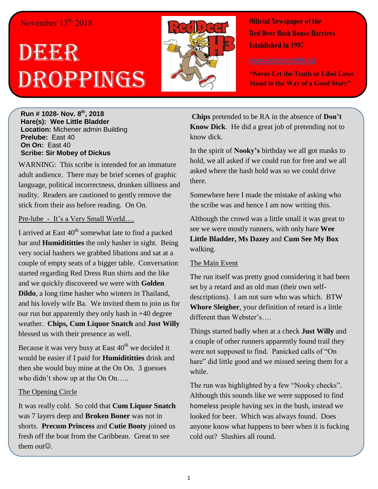### November  $13^{th}$ , 2018

# DEERR Droppings



**Official Newspaper of the Red Deer Hash House Harriers Established In 1997**

**"Never Let the Truth or Libel Laws Stand in the Way of a Good Story"**

**Run # 1028- Nov. 8 th, 2018 Hare(s): Wee Little Bladder Location:** Michener admin Building **Prelube:** East 40 **On On:** East 40 **Scribe: Sir Mobey of Dickus**

WARNING: This scribe is intended for an immature adult audience. There may be brief scenes of graphic language, political incorrectness, drunken silliness and nudity. Readers are cautioned to gently remove the stick from their ass before reading. On On.

#### Pre-lube - It's a Very Small World….

I arrived at East  $40<sup>th</sup>$  somewhat late to find a packed bar and **Humidititties** the only hasher in sight. Being very social hashers we grabbed libations and sat at a couple of empty seats of a bigger table. Conversation started regarding Red Dress Run shirts and the like and we quickly discovered we were with **Golden Dildo**, a long time hasher who winters in Thailand, and his lovely wife Ba. We invited them to join us for our run but apparently they only hash in +40 degree weather. **Chips, Cum Liquor Snatch** and **Just Willy** blessed us with their presence as well.

Because it was very busy at East  $40<sup>th</sup>$  we decided it would be easier if I paid for **Humidititties** drink and then she would buy mine at the On On. 3 guesses who didn't show up at the On On.....

#### The Opening Circle

It was really cold. So cold that **Cum Liquor Snatch** was 7 layers deep and **Broken Boner** was not in shorts. **Precum Princess** and **Cutie Booty** joined us fresh off the boat from the Caribbean. Great to see them out $\odot$ .

**Chips** pretended to be RA in the absence of **Don't Know Dick**. He did a great job of pretending not to know dick.

In the spirit of **Nooky's** birthday we all got masks to hold, we all asked if we could run for free and we all asked where the hash hold was so we could drive there.

Somewhere here I made the mistake of asking who the scribe was and hence I am now writing this.

Although the crowd was a little small it was great to see we were mostly runners, with only hare **Wee Little Bladder, Ms Dazey** and **Cum See My Box** walking.

#### The Main Event

The run itself was pretty good considering it had been set by a retard and an old man (their own selfdescriptions). I am not sure who was which. BTW **Whore Sleigher**, your definition of retard is a little different than Webster's….

Things started badly when at a check **Just Willy** and a couple of other runners apparently found trail they were not supposed to find. Panicked calls of "On hare" did little good and we missed seeing them for a while.

The run was highlighted by a few "Nooky checks". Although this sounds like we were supposed to find homeless people having sex in the bush, instead we looked for beer. Which was always found. Does anyone know what happens to beer when it is fucking cold out? Slushies all round.